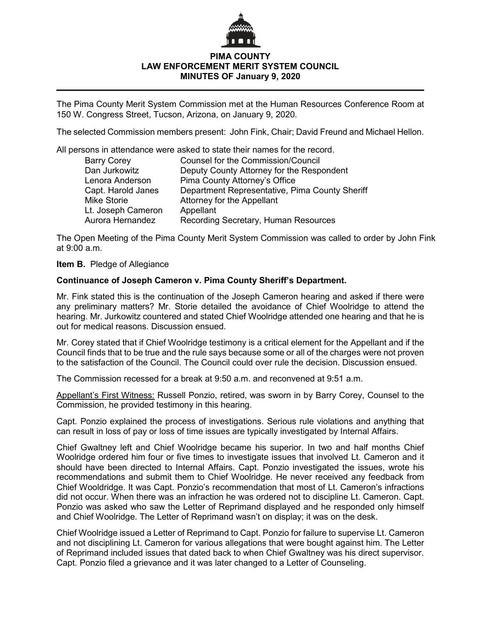

## **PIMA COUNTY LAW ENFORCEMENT MERIT SYSTEM COUNCIL MINUTES OF January 9, 2020**

The Pima County Merit System Commission met at the Human Resources Conference Room at 150 W. Congress Street, Tucson, Arizona, on January 9, 2020.

The selected Commission members present: John Fink, Chair; David Freund and Michael Hellon.

All persons in attendance were asked to state their names for the record.

| <b>Barry Corey</b> | <b>Counsel for the Commission/Council</b>      |
|--------------------|------------------------------------------------|
| Dan Jurkowitz      | Deputy County Attorney for the Respondent      |
| Lenora Anderson    | Pima County Attorney's Office                  |
| Capt. Harold Janes | Department Representative, Pima County Sheriff |
| <b>Mike Storie</b> | <b>Attorney for the Appellant</b>              |
| Lt. Joseph Cameron | Appellant                                      |
| Aurora Hernandez   | Recording Secretary, Human Resources           |

The Open Meeting of the Pima County Merit System Commission was called to order by John Fink at  $9:00$  a.m.

## **Item B.** Pledge of Allegiance

## **Continuance of Joseph Cameron v. Pima County Sheriff's Department.**

Mr. Fink stated this is the continuation of the Joseph Cameron hearing and asked if there were any preliminary matters? Mr. Storie detailed the avoidance of Chief Woolridge to attend the hearing. Mr. Jurkowitz countered and stated Chief Woolridge attended one hearing and that he is out for medical reasons. Discussion ensued.

Mr. Corey stated that if Chief Woolridge testimony is a critical element for the Appellant and if the Council finds that to be true and the rule says because some or all of the charges were not proven to the satisfaction of the Council. The Council could over rule the decision. Discussion ensued.

The Commission recessed for a break at 9:50 a.m. and reconvened at 9:51 a.m.

Appellant's First Witness: Russell Ponzio, retired, was sworn in by Barry Corey, Counsel to the Commission, he provided testimony in this hearing.

Capt. Ponzio explained the process of investigations. Serious rule violations and anything that can result in loss of pay or loss of time issues are typically investigated by Internal Affairs.

Chief Gwaltney left and Chief Woolridge became his superior. In two and half months Chief Woolridge ordered him four or five times to investigate issues that involved Lt. Cameron and it should have been directed to Internal Affairs. Capt. Ponzio investigated the issues, wrote his recommendations and submit them to Chief Woolridge. He never received any feedback from Chief Wooldridge. It was Capt. Ponzio's recommendation that most of Lt. Cameron's infractions did not occur. When there was an infraction he was ordered not to discipline Lt. Cameron. Capt. Ponzio was asked who saw the Letter of Reprimand displayed and he responded only himself and Chief Woolridge. The Letter of Reprimand wasn't on display; it was on the desk.

Chief Woolridge issued a Letter of Reprimand to Capt. Ponzio for failure to supervise Lt. Cameron and not disciplining Lt. Cameron for various allegations that were bought against him. The Letter of Reprimand included issues that dated back to when Chief Gwaltney was his direct supervisor. Capt. Ponzio filed a grievance and it was later changed to a Letter of Counseling.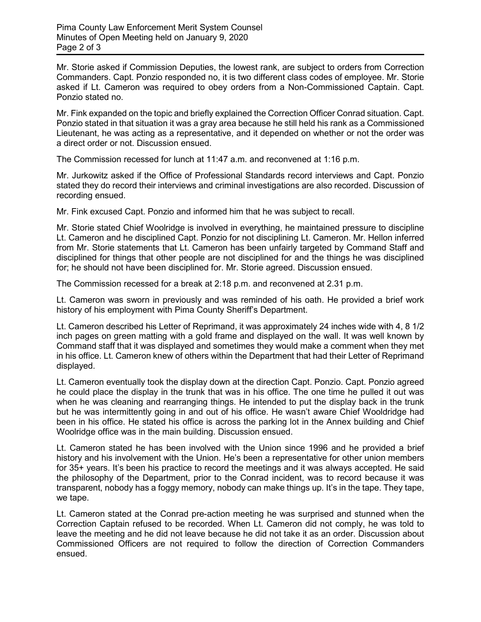Mr. Storie asked if Commission Deputies, the lowest rank, are subject to orders from Correction Commanders. Capt. Ponzio responded no, it is two different class codes of employee. Mr. Storie asked if Lt. Cameron was required to obey orders from a Non-Commissioned Captain. Capt. Ponzio stated no.

Mr. Fink expanded on the topic and briefly explained the Correction Officer Conrad situation. Capt. Ponzio stated in that situation it was a gray area because he still held his rank as a Commissioned Lieutenant, he was acting as a representative, and it depended on whether or not the order was a direct order or not. Discussion ensued.

The Commission recessed for lunch at 11:47 a.m. and reconvened at 1:16 p.m.

Mr. Jurkowitz asked if the Office of Professional Standards record interviews and Capt. Ponzio stated they do record their interviews and criminal investigations are also recorded. Discussion of recording ensued.

Mr. Fink excused Capt. Ponzio and informed him that he was subject to recall.

Mr. Storie stated Chief Woolridge is involved in everything, he maintained pressure to discipline Lt. Cameron and he disciplined Capt. Ponzio for not disciplining Lt. Cameron. Mr. Hellon inferred from Mr. Storie statements that Lt. Cameron has been unfairly targeted by Command Staff and disciplined for things that other people are not disciplined for and the things he was disciplined for; he should not have been disciplined for. Mr. Storie agreed. Discussion ensued.

The Commission recessed for a break at 2:18 p.m. and reconvened at 2.31 p.m.

Lt. Cameron was sworn in previously and was reminded of his oath. He provided a brief work history of his employment with Pima County Sheriff's Department.

Lt. Cameron described his Letter of Reprimand, it was approximately 24 inches wide with 4, 8 1/2 inch pages on green matting with a gold frame and displayed on the wall. It was well known by Command staff that it was displayed and sometimes they would make a comment when they met in his office. Lt. Cameron knew of others within the Department that had their Letter of Reprimand displayed.

Lt. Cameron eventually took the display down at the direction Capt. Ponzio. Capt. Ponzio agreed he could place the display in the trunk that was in his office. The one time he pulled it out was when he was cleaning and rearranging things. He intended to put the display back in the trunk but he was intermittently going in and out of his office. He wasn't aware Chief Wooldridge had been in his office. He stated his office is across the parking lot in the Annex building and Chief Woolridge office was in the main building. Discussion ensued.

Lt. Cameron stated he has been involved with the Union since 1996 and he provided a brief history and his involvement with the Union. He's been a representative for other union members for 35+ years. It's been his practice to record the meetings and it was always accepted. He said the philosophy of the Department, prior to the Conrad incident, was to record because it was transparent, nobody has a foggy memory, nobody can make things up. It's in the tape. They tape, we tape.

Lt. Cameron stated at the Conrad pre-action meeting he was surprised and stunned when the Correction Captain refused to be recorded. When Lt. Cameron did not comply, he was told to leave the meeting and he did not leave because he did not take it as an order. Discussion about Commissioned Officers are not required to follow the direction of Correction Commanders ensued.